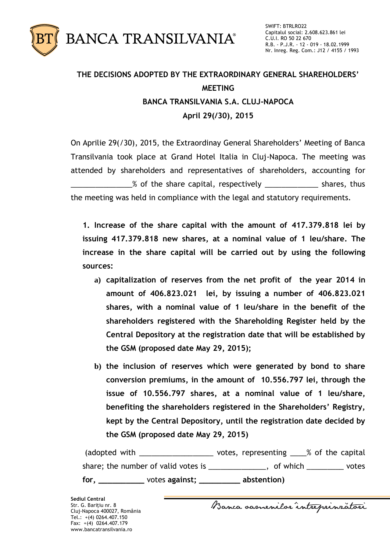

## **THE DECISIONS ADOPTED BY THE EXTRAORDINARY GENERAL SHAREHOLDERS' MEETING BANCA TRANSILVANIA S.A. CLUJ-NAPOCA April 29(/30), 2015**

On Aprilie 29(/30), 2015, the Extraordinay General Shareholders' Meeting of Banca Transilvania took place at Grand Hotel Italia in Cluj-Napoca. The meeting was attended by shareholders and representatives of shareholders, accounting for **EXECUTE:** 8 of the share capital, respectively **EXECUTE:** shares, thus the meeting was held in compliance with the legal and statutory requirements.

**1. Increase of the share capital with the amount of 417.379.818 lei by issuing 417.379.818 new shares, at a nominal value of 1 leu/share. The increase in the share capital will be carried out by using the following sources:**

- **a) capitalization of reserves from the net profit of the year 2014 in amount of 406.823.021 lei, by issuing a number of 406.823.021 shares, with a nominal value of 1 leu/share in the benefit of the shareholders registered with the Shareholding Register held by the Central Depository at the registration date that will be established by the GSM (proposed date May 29, 2015);**
- **b) the inclusion of reserves which were generated by bond to share conversion premiums, in the amount of 10.556.797 lei, through the issue of 10.556.797 shares, at a nominal value of 1 leu/share, benefiting the shareholders registered in the Shareholders' Registry, kept by the Central Depository, until the registration date decided by the GSM (proposed date May 29, 2015)**

(adopted with \_\_\_\_\_\_\_\_\_\_\_\_\_\_\_\_\_\_\_\_\_\_ votes, representing \_\_\_\_% of the capital share; the number of valid votes is \_\_\_\_\_\_\_\_\_\_\_\_\_, of which \_\_\_\_\_\_\_\_\_ votes **for, \_\_\_\_\_\_\_\_\_\_** votes **against; \_\_\_\_\_\_\_\_\_ abstention)**

Banca samenilar intreprinratori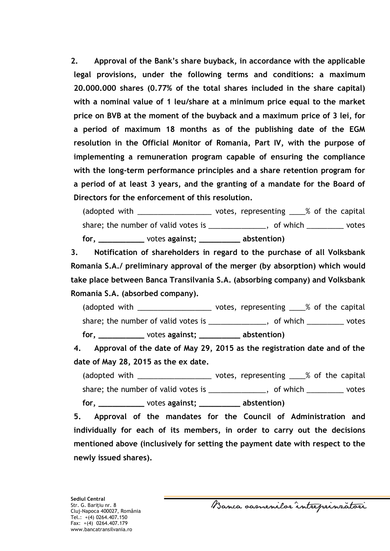**2. Approval of the Bank's share buyback, in accordance with the applicable legal provisions, under the following terms and conditions: a maximum 20.000.000 shares (0.77% of the total shares included in the share capital) with a nominal value of 1 leu/share at a minimum price equal to the market price on BVB at the moment of the buyback and a maximum price of 3 lei, for a period of maximum 18 months as of the publishing date of the EGM resolution in the Official Monitor of Romania, Part IV, with the purpose of implementing a remuneration program capable of ensuring the compliance with the long-term performance principles and a share retention program for a period of at least 3 years, and the granting of a mandate for the Board of Directors for the enforcement of this resolution.** 

(adopted with \_\_\_\_\_\_\_\_\_\_\_\_\_\_\_\_\_\_\_\_\_ votes, representing \_\_\_\_% of the capital share; the number of valid votes is example the number of valid votes is the set of which votes **for, \_\_\_\_\_\_\_\_\_\_** votes **against; \_\_\_\_\_\_\_\_\_ abstention)**

**3. Notification of shareholders in regard to the purchase of all Volksbank Romania S.A./ preliminary approval of the merger (by absorption) which would take place between Banca Transilvania S.A. (absorbing company) and Volksbank Romania S.A. (absorbed company).** 

(adopted with \_\_\_\_\_\_\_\_\_\_\_\_\_\_\_\_\_\_\_\_\_\_ votes, representing \_\_\_\_% of the capital share; the number of valid votes is \_\_\_\_\_\_\_\_\_\_\_\_, of which \_\_\_\_\_\_\_\_ votes **for, \_\_\_\_\_\_\_\_\_\_** votes **against; \_\_\_\_\_\_\_\_\_ abstention)**

**4. Approval of the date of May 29, 2015 as the registration date and of the date of May 28, 2015 as the ex date.**

(adopted with  $\qquad$  votes, representing  $\qquad$  % of the capital share; the number of valid votes is \_\_\_\_\_\_\_\_\_\_\_\_, of which \_\_\_\_\_\_\_\_ votes **for, \_\_\_\_\_\_\_\_\_\_** votes **against; \_\_\_\_\_\_\_\_\_ abstention)**

**5. Approval of the mandates for the Council of Administration and individually for each of its members, in order to carry out the decisions mentioned above (inclusively for setting the payment date with respect to the newly issued shares).**

Banca samenilor intreprinzatori